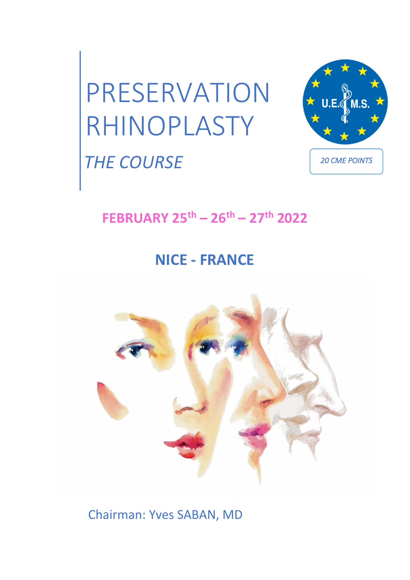

## *THE COURSE*

*20 CME POINTS* 

M.S.

## **FEBRUARY 25th – 26th – 27th 2022**

## **NICE - FRANCE**



Chairman: Yves SABAN, MD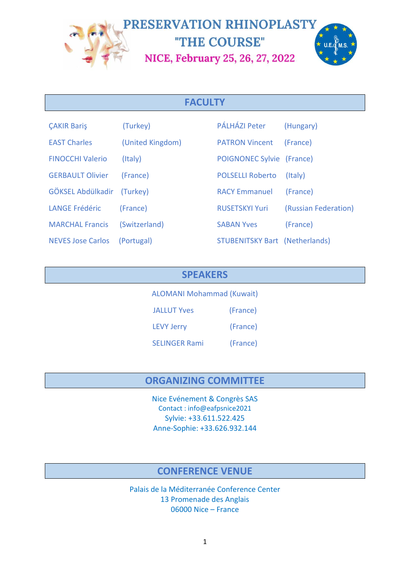

#### **FACULTY**

| <b>CAKIR Baris</b>       | (Turkey)         | PÁLHÁZI Peter                         | (Hungary)            |
|--------------------------|------------------|---------------------------------------|----------------------|
| <b>EAST Charles</b>      | (United Kingdom) | <b>PATRON Vincent</b>                 | (France)             |
| <b>FINOCCHI Valerio</b>  | (Italy)          | POIGNONEC Sylvie (France)             |                      |
| <b>GERBAULT Olivier</b>  | (France)         | <b>POLSELLI Roberto</b>               | (Italy)              |
| GÖKSEL Abdülkadir        | (Turkey)         | <b>RACY Emmanuel</b>                  | (France)             |
| <b>LANGE Frédéric</b>    | (France)         | <b>RUSETSKYI Yuri</b>                 | (Russian Federation) |
| <b>MARCHAL Francis</b>   | (Switzerland)    | <b>SABAN Yves</b>                     | (France)             |
| <b>NEVES Jose Carlos</b> | (Portugal)       | <b>STUBENITSKY Bart (Netherlands)</b> |                      |

#### **SPEAKERS**

ALOMANI Mohammad (Kuwait) JALLUT Yves (France)

LEVY Jerry (France)

SELINGER Rami (France)

#### **ORGANIZING COMMITTEE**

Nice Evénement & Congrès SAS Contact : info@eafpsnice2021 Sylvie: +33.611.522.425 Anne-Sophie: +33.626.932.144

#### **CONFERENCE VENUE**

Palais de la Méditerranée Conference Center 13 Promenade des Anglais 06000 Nice – France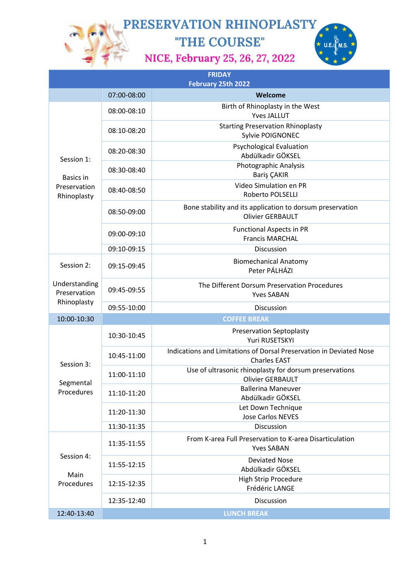"THE COURSE"

NICE, February 25, 26, 27, 2022



| <b>FRIDAY</b><br>February 25th 2022                    |                    |                                                                                            |  |
|--------------------------------------------------------|--------------------|--------------------------------------------------------------------------------------------|--|
|                                                        | 07:00-08:00        | Welcome                                                                                    |  |
| Session 1:<br>Basics in<br>Preservation<br>Rhinoplasty | 08:00-08:10        | Birth of Rhinoplasty in the West<br><b>Yves JALLUT</b>                                     |  |
|                                                        | 08:10-08:20        | <b>Starting Preservation Rhinoplasty</b><br>Sylvie POIGNONEC                               |  |
|                                                        | 08:20-08:30        | <b>Psychological Evaluation</b><br>Abdülkadir GÖKSEL                                       |  |
|                                                        | 08:30-08:40        | Photographic Analysis<br>Bariş ÇAKIR                                                       |  |
|                                                        | 08:40-08:50        | Video Simulation en PR<br><b>Roberto POLSELLI</b>                                          |  |
|                                                        | 08:50-09:00        | Bone stability and its application to dorsum preservation<br><b>Olivier GERBAULT</b>       |  |
|                                                        | 09:00-09:10        | <b>Functional Aspects in PR</b><br><b>Francis MARCHAL</b>                                  |  |
|                                                        | 09:10-09:15        | Discussion                                                                                 |  |
| Session 2:                                             | 09:15-09:45        | <b>Biomechanical Anatomy</b><br>Peter PÁLHÁZI                                              |  |
| Understanding<br>Preservation                          | 09:45-09:55        | The Different Dorsum Preservation Procedures<br><b>Yves SABAN</b>                          |  |
| Rhinoplasty                                            | 09:55-10:00        | Discussion                                                                                 |  |
| 10:00-10:30                                            |                    | <b>COFFEE BREAK</b>                                                                        |  |
| Session 3:<br>Segmental<br>Procedures                  | 10:30-10:45        | <b>Preservation Septoplasty</b><br>Yuri RUSETSKYI                                          |  |
|                                                        | 10:45-11:00        | Indications and Limitations of Dorsal Preservation in Deviated Nose<br><b>Charles EAST</b> |  |
|                                                        | 11:00-11:10        | Use of ultrasonic rhinoplasty for dorsum preservations<br>Olivier GERBAULT                 |  |
|                                                        | 11:10-11:20        | <b>Ballerina Maneuver</b><br>Abdülkadir GÖKSEL                                             |  |
|                                                        | 11:20-11:30        | Let Down Technique<br><b>Jose Carlos NEVES</b>                                             |  |
|                                                        | 11:30-11:35        | <b>Discussion</b>                                                                          |  |
| Session 4:<br>Main<br>Procedures                       | 11:35-11:55        | From K-area Full Preservation to K-area Disarticulation<br><b>Yves SABAN</b>               |  |
|                                                        | 11:55-12:15        | <b>Deviated Nose</b><br>Abdülkadir GÖKSEL                                                  |  |
|                                                        | 12:15-12:35        | <b>High Strip Procedure</b><br>Frédéric LANGE                                              |  |
|                                                        | 12:35-12:40        | Discussion                                                                                 |  |
| 12:40-13:40                                            | <b>LUNCH BREAK</b> |                                                                                            |  |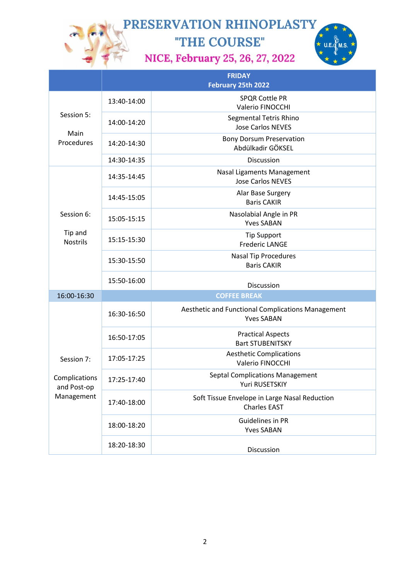"THE COURSE" NICE, February 25, 26, 27, 2022



|                                                          | <b>FRIDAY</b><br>February 25th 2022 |                                                                        |  |
|----------------------------------------------------------|-------------------------------------|------------------------------------------------------------------------|--|
| Session 5:<br>Main<br>Procedures                         | 13:40-14:00                         | <b>SPQR Cottle PR</b><br>Valerio FINOCCHI                              |  |
|                                                          | 14:00-14:20                         | Segmental Tetris Rhino<br><b>Jose Carlos NEVES</b>                     |  |
|                                                          | 14:20-14:30                         | <b>Bony Dorsum Preservation</b><br>Abdülkadir GÖKSEL                   |  |
|                                                          | 14:30-14:35                         | Discussion                                                             |  |
| Session 6:                                               | 14:35-14:45                         | Nasal Ligaments Management<br><b>Jose Carlos NEVES</b>                 |  |
|                                                          | 14:45-15:05                         | Alar Base Surgery<br><b>Baris CAKIR</b>                                |  |
|                                                          | 15:05-15:15                         | Nasolabial Angle in PR<br><b>Yves SABAN</b>                            |  |
| Tip and<br><b>Nostrils</b>                               | 15:15-15:30                         | <b>Tip Support</b><br><b>Frederic LANGE</b>                            |  |
|                                                          | 15:30-15:50                         | <b>Nasal Tip Procedures</b><br><b>Baris CAKIR</b>                      |  |
|                                                          | 15:50-16:00                         | Discussion                                                             |  |
| 16:00-16:30                                              | <b>COFFEE BREAK</b>                 |                                                                        |  |
| Session 7:<br>Complications<br>and Post-op<br>Management | 16:30-16:50                         | Aesthetic and Functional Complications Management<br><b>Yves SABAN</b> |  |
|                                                          | 16:50-17:05                         | <b>Practical Aspects</b><br><b>Bart STUBENITSKY</b>                    |  |
|                                                          | 17:05-17:25                         | <b>Aesthetic Complications</b><br>Valerio FINOCCHI                     |  |
|                                                          | 17:25-17:40                         | <b>Septal Complications Management</b><br>Yuri RUSETSKIY               |  |
|                                                          | 17:40-18:00                         | Soft Tissue Envelope in Large Nasal Reduction<br><b>Charles EAST</b>   |  |
|                                                          | 18:00-18:20                         | Guidelines in PR<br><b>Yves SABAN</b>                                  |  |
|                                                          | 18:20-18:30                         | Discussion                                                             |  |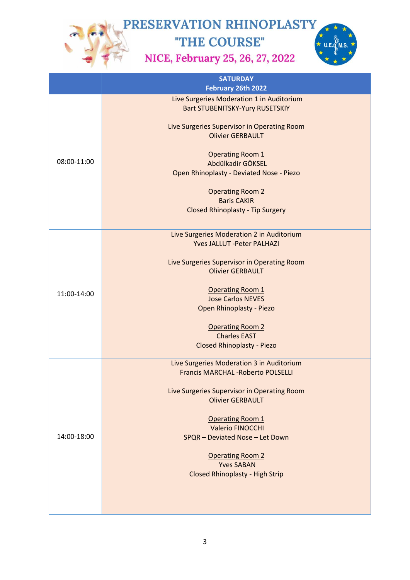"THE COURSE" NICE, February 25, 26, 27, 2022



|             | <b>SATURDAY</b><br>February 26th 2022                                                  |
|-------------|----------------------------------------------------------------------------------------|
| 08:00-11:00 | Live Surgeries Moderation 1 in Auditorium<br><b>Bart STUBENITSKY-Yury RUSETSKIY</b>    |
|             | Live Surgeries Supervisor in Operating Room<br><b>Olivier GERBAULT</b>                 |
|             | <b>Operating Room 1</b><br>Abdülkadir GÖKSEL                                           |
|             | Open Rhinoplasty - Deviated Nose - Piezo                                               |
|             | <b>Operating Room 2</b><br><b>Baris CAKIR</b>                                          |
|             | <b>Closed Rhinoplasty - Tip Surgery</b>                                                |
|             | Live Surgeries Moderation 2 in Auditorium<br><b>Yves JALLUT -Peter PALHAZI</b>         |
|             |                                                                                        |
| 11:00-14:00 | Live Surgeries Supervisor in Operating Room<br><b>Olivier GERBAULT</b>                 |
|             | <b>Operating Room 1</b>                                                                |
|             | <b>Jose Carlos NEVES</b><br>Open Rhinoplasty - Piezo                                   |
|             | <b>Operating Room 2</b>                                                                |
|             | <b>Charles EAST</b><br><b>Closed Rhinoplasty - Piezo</b>                               |
| 14:00-18:00 | Live Surgeries Moderation 3 in Auditorium<br><b>Francis MARCHAL - Roberto POLSELLI</b> |
|             |                                                                                        |
|             | Live Surgeries Supervisor in Operating Room<br><b>Olivier GERBAULT</b>                 |
|             | <b>Operating Room 1</b>                                                                |
|             | <b>Valerio FINOCCHI</b><br>SPQR - Deviated Nose - Let Down                             |
|             | <b>Operating Room 2</b>                                                                |
|             | <b>Yves SABAN</b><br><b>Closed Rhinoplasty - High Strip</b>                            |
|             |                                                                                        |
|             |                                                                                        |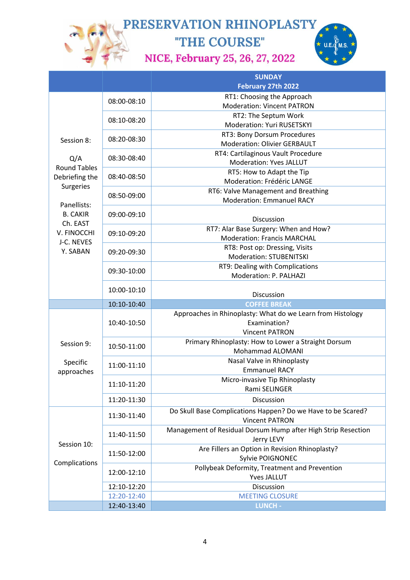"THE COURSE" NICE, February 25, 26, 27, 2022



|                              |             | <b>SUNDAY</b>                                                 |
|------------------------------|-------------|---------------------------------------------------------------|
|                              |             | February 27th 2022                                            |
|                              | 08:00-08:10 | RT1: Choosing the Approach                                    |
|                              |             | <b>Moderation: Vincent PATRON</b>                             |
|                              | 08:10-08:20 | RT2: The Septum Work                                          |
|                              |             | Moderation: Yuri RUSETSKYI                                    |
|                              | 08:20-08:30 | RT3: Bony Dorsum Procedures                                   |
| Session 8:                   |             | <b>Moderation: Olivier GERBAULT</b>                           |
| Q/A                          | 08:30-08:40 | RT4: Cartilaginous Vault Procedure                            |
| <b>Round Tables</b>          |             | <b>Moderation: Yves JALLUT</b>                                |
| Debriefing the               | 08:40-08:50 | RT5: How to Adapt the Tip                                     |
| Surgeries                    |             | Moderation: Frédéric LANGE                                    |
|                              | 08:50-09:00 | RT6: Valve Management and Breathing                           |
| Panellists:                  |             | <b>Moderation: Emmanuel RACY</b>                              |
| <b>B. CAKIR</b>              | 09:00-09:10 |                                                               |
| Ch. EAST                     |             | Discussion                                                    |
| V. FINOCCHI                  | 09:10-09:20 | RT7: Alar Base Surgery: When and How?                         |
| J-C. NEVES                   |             | <b>Moderation: Francis MARCHAL</b>                            |
| Y. SABAN                     | 09:20-09:30 | RT8: Post op: Dressing, Visits                                |
|                              |             | Moderation: STUBENITSKI                                       |
|                              | 09:30-10:00 | RT9: Dealing with Complications                               |
|                              |             | Moderation: P. PALHAZI                                        |
|                              | 10:00-10:10 | Discussion                                                    |
|                              | 10:10-10:40 | <b>COFFEE BREAK</b>                                           |
|                              |             | Approaches in Rhinoplasty: What do we Learn from Histology    |
|                              | 10:40-10:50 | Examination?                                                  |
|                              |             | <b>Vincent PATRON</b>                                         |
| Session 9:                   | 10:50-11:00 | Primary Rhinoplasty: How to Lower a Straight Dorsum           |
|                              |             | Mohammad ALOMANI                                              |
| Specific<br>approaches       | 11:00-11:10 | Nasal Valve in Rhinoplasty                                    |
|                              |             | <b>Emmanuel RACY</b>                                          |
|                              |             | Micro-invasive Tip Rhinoplasty                                |
|                              | 11:10-11:20 | Rami SELINGER                                                 |
|                              | 11:20-11:30 | Discussion                                                    |
|                              |             | Do Skull Base Complications Happen? Do we Have to be Scared?  |
|                              | 11:30-11:40 | <b>Vincent PATRON</b>                                         |
| Session 10:<br>Complications | 11:40-11:50 | Management of Residual Dorsum Hump after High Strip Resection |
|                              |             | Jerry LEVY                                                    |
|                              | 11:50-12:00 | Are Fillers an Option in Revision Rhinoplasty?                |
|                              |             | Sylvie POIGNONEC                                              |
|                              |             | Pollybeak Deformity, Treatment and Prevention                 |
|                              | 12:00-12:10 | <b>Yves JALLUT</b>                                            |
|                              | 12:10-12:20 | Discussion                                                    |
|                              |             |                                                               |
|                              | 12:40-13:40 | LUNCH -                                                       |
|                              | 12:20-12:40 | <b>MEETING CLOSURE</b>                                        |
|                              |             |                                                               |